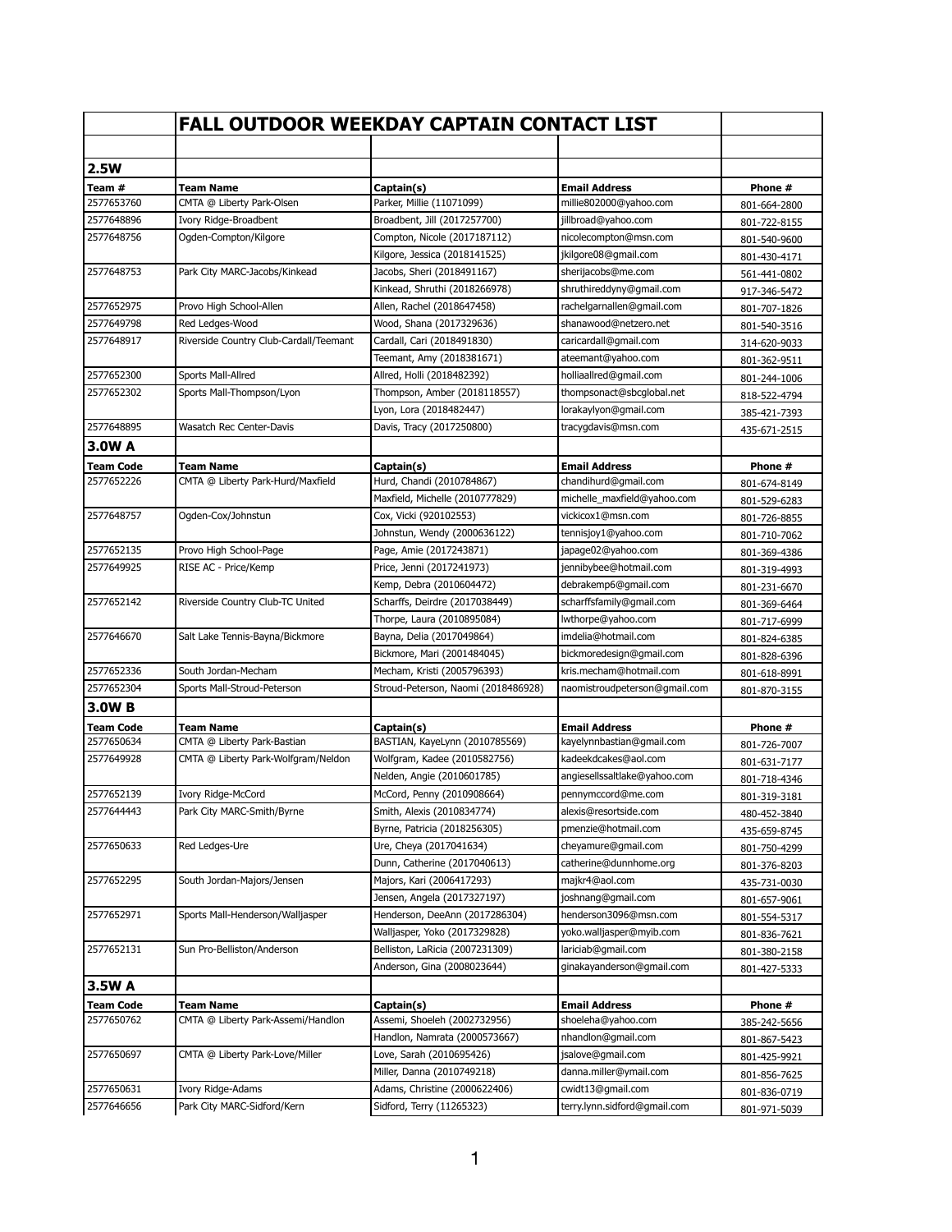|                  | <b>FALL OUTDOOR WEEKDAY CAPTAIN CONTACT LIST</b> |                                              |                                                   |                              |
|------------------|--------------------------------------------------|----------------------------------------------|---------------------------------------------------|------------------------------|
|                  |                                                  |                                              |                                                   |                              |
| 2.5W             |                                                  |                                              |                                                   |                              |
| Team #           | <b>Team Name</b>                                 | Captain(s)                                   | <b>Email Address</b>                              | Phone #                      |
| 2577653760       | CMTA @ Liberty Park-Olsen                        | Parker, Millie (11071099)                    | millie802000@yahoo.com                            | 801-664-2800                 |
| 2577648896       | Ivory Ridge-Broadbent                            | Broadbent, Jill (2017257700)                 | jillbroad@yahoo.com                               | 801-722-8155                 |
| 2577648756       | Ogden-Compton/Kilgore                            | Compton, Nicole (2017187112)                 | nicolecompton@msn.com                             | 801-540-9600                 |
|                  |                                                  | Kilgore, Jessica (2018141525)                | jkilgore08@gmail.com                              | 801-430-4171                 |
| 2577648753       | Park City MARC-Jacobs/Kinkead                    | Jacobs, Sheri (2018491167)                   | sherijacobs@me.com                                | 561-441-0802                 |
|                  |                                                  | Kinkead, Shruthi (2018266978)                | shruthireddyny@gmail.com                          | 917-346-5472                 |
| 2577652975       | Provo High School-Allen                          | Allen, Rachel (2018647458)                   | rachelgarnallen@gmail.com                         | 801-707-1826                 |
| 2577649798       | Red Ledges-Wood                                  | Wood, Shana (2017329636)                     | shanawood@netzero.net                             | 801-540-3516                 |
| 2577648917       | Riverside Country Club-Cardall/Teemant           | Cardall, Cari (2018491830)                   | caricardall@gmail.com                             | 314-620-9033                 |
|                  |                                                  | Teemant, Amy (2018381671)                    | ateemant@yahoo.com                                | 801-362-9511                 |
| 2577652300       | Sports Mall-Allred                               | Allred, Holli (2018482392)                   | holliaallred@gmail.com                            | 801-244-1006                 |
| 2577652302       | Sports Mall-Thompson/Lyon                        | Thompson, Amber (2018118557)                 | thompsonact@sbcqlobal.net                         | 818-522-4794                 |
|                  |                                                  | Lyon, Lora (2018482447)                      | lorakaylyon@gmail.com                             | 385-421-7393                 |
| 2577648895       | Wasatch Rec Center-Davis                         | Davis, Tracy (2017250800)                    | tracygdavis@msn.com                               | 435-671-2515                 |
| 3.0W A           |                                                  |                                              |                                                   |                              |
| Team Code        | <b>Team Name</b>                                 | Captain(s)                                   | <b>Email Address</b>                              | Phone #                      |
| 2577652226       | CMTA @ Liberty Park-Hurd/Maxfield                | Hurd, Chandi (2010784867)                    | chandihurd@gmail.com                              | 801-674-8149                 |
|                  |                                                  | Maxfield, Michelle (2010777829)              | michelle_maxfield@yahoo.com                       | 801-529-6283                 |
| 2577648757       | Ogden-Cox/Johnstun                               | Cox, Vicki (920102553)                       | vickicox1@msn.com                                 | 801-726-8855                 |
|                  |                                                  | Johnstun, Wendy (2000636122)                 | tennisjoy1@yahoo.com                              | 801-710-7062                 |
| 2577652135       | Provo High School-Page                           | Page, Amie (2017243871)                      | japage02@yahoo.com                                | 801-369-4386                 |
| 2577649925       | RISE AC - Price/Kemp                             | Price, Jenni (2017241973)                    | jennibybee@hotmail.com                            | 801-319-4993                 |
|                  |                                                  | Kemp, Debra (2010604472)                     | debrakemp6@gmail.com                              | 801-231-6670                 |
| 2577652142       | Riverside Country Club-TC United                 | Scharffs, Deirdre (2017038449)               | scharffsfamily@gmail.com                          | 801-369-6464                 |
|                  |                                                  | Thorpe, Laura (2010895084)                   | lwthorpe@yahoo.com                                | 801-717-6999                 |
| 2577646670       | Salt Lake Tennis-Bayna/Bickmore                  | Bayna, Delia (2017049864)                    | imdelia@hotmail.com                               | 801-824-6385                 |
|                  |                                                  | Bickmore, Mari (2001484045)                  | bickmoredesign@gmail.com                          | 801-828-6396                 |
| 2577652336       | South Jordan-Mecham                              | Mecham, Kristi (2005796393)                  | kris.mecham@hotmail.com                           | 801-618-8991                 |
| 2577652304       | Sports Mall-Stroud-Peterson                      | Stroud-Peterson, Naomi (2018486928)          | naomistroudpeterson@gmail.com                     | 801-870-3155                 |
| 3.0WB            |                                                  |                                              |                                                   |                              |
| <b>Team Code</b> |                                                  |                                              |                                                   |                              |
| 2577650634       | Team Name<br>CMTA @ Liberty Park-Bastian         | Captain(s)<br>BASTIAN, KayeLynn (2010785569) | <b>Email Address</b><br>kayelynnbastian@gmail.com | Phone #<br>801-726-7007      |
| 2577649928       | CMTA @ Liberty Park-Wolfgram/Neldon              | Wolfgram, Kadee (2010582756)                 | kadeekdcakes@aol.com                              |                              |
|                  |                                                  | Nelden, Angie (2010601785)                   | angiesellssaltlake@yahoo.com                      | 801-631-7177                 |
| 2577652139       | Ivory Ridge-McCord                               | McCord, Penny (2010908664)                   | pennymccord@me.com                                | 801-718-4346                 |
| 2577644443       | Park City MARC-Smith/Byrne                       | Smith, Alexis (2010834774)                   | alexis@resortside.com                             | 801-319-3181                 |
|                  |                                                  | Byrne, Patricia (2018256305)                 | pmenzie@hotmail.com                               | 480-452-3840                 |
| 2577650633       | Red Ledges-Ure                                   | Ure, Cheya (2017041634)                      | cheyamure@gmail.com                               | 435-659-8745<br>801-750-4299 |
|                  |                                                  | Dunn, Catherine (2017040613)                 | catherine@dunnhome.org                            |                              |
| 2577652295       | South Jordan-Majors/Jensen                       | Majors, Kari (2006417293)                    | majkr4@aol.com                                    | 801-376-8203                 |
|                  |                                                  | Jensen, Angela (2017327197)                  | joshnang@gmail.com                                | 435-731-0030                 |
| 2577652971       | Sports Mall-Henderson/Walljasper                 | Henderson, DeeAnn (2017286304)               | henderson3096@msn.com                             | 801-657-9061                 |
|                  |                                                  | Walljasper, Yoko (2017329828)                | yoko.walljasper@myib.com                          | 801-554-5317                 |
| 2577652131       | Sun Pro-Belliston/Anderson                       | Belliston, LaRicia (2007231309)              | lariciab@gmail.com                                | 801-836-7621                 |
|                  |                                                  | Anderson, Gina (2008023644)                  | ginakayanderson@gmail.com                         | 801-380-2158                 |
|                  |                                                  |                                              |                                                   | 801-427-5333                 |
| 3.5W A           |                                                  |                                              |                                                   |                              |
| <b>Team Code</b> | <b>Team Name</b>                                 | Captain(s)                                   | <b>Email Address</b>                              | Phone #                      |
| 2577650762       | CMTA @ Liberty Park-Assemi/Handlon               | Assemi, Shoeleh (2002732956)                 | shoeleha@yahoo.com                                | 385-242-5656                 |
|                  |                                                  | Handlon, Namrata (2000573667)                | nhandlon@gmail.com                                | 801-867-5423                 |
| 2577650697       | CMTA @ Liberty Park-Love/Miller                  | Love, Sarah (2010695426)                     | jsalove@gmail.com                                 | 801-425-9921                 |
|                  |                                                  | Miller, Danna (2010749218)                   | danna.miller@ymail.com                            | 801-856-7625                 |
| 2577650631       | Ivory Ridge-Adams                                | Adams, Christine (2000622406)                | cwidt13@gmail.com                                 | 801-836-0719                 |
| 2577646656       | Park City MARC-Sidford/Kern                      | Sidford, Terry (11265323)                    | terry.lynn.sidford@gmail.com                      | 801-971-5039                 |
|                  |                                                  |                                              |                                                   |                              |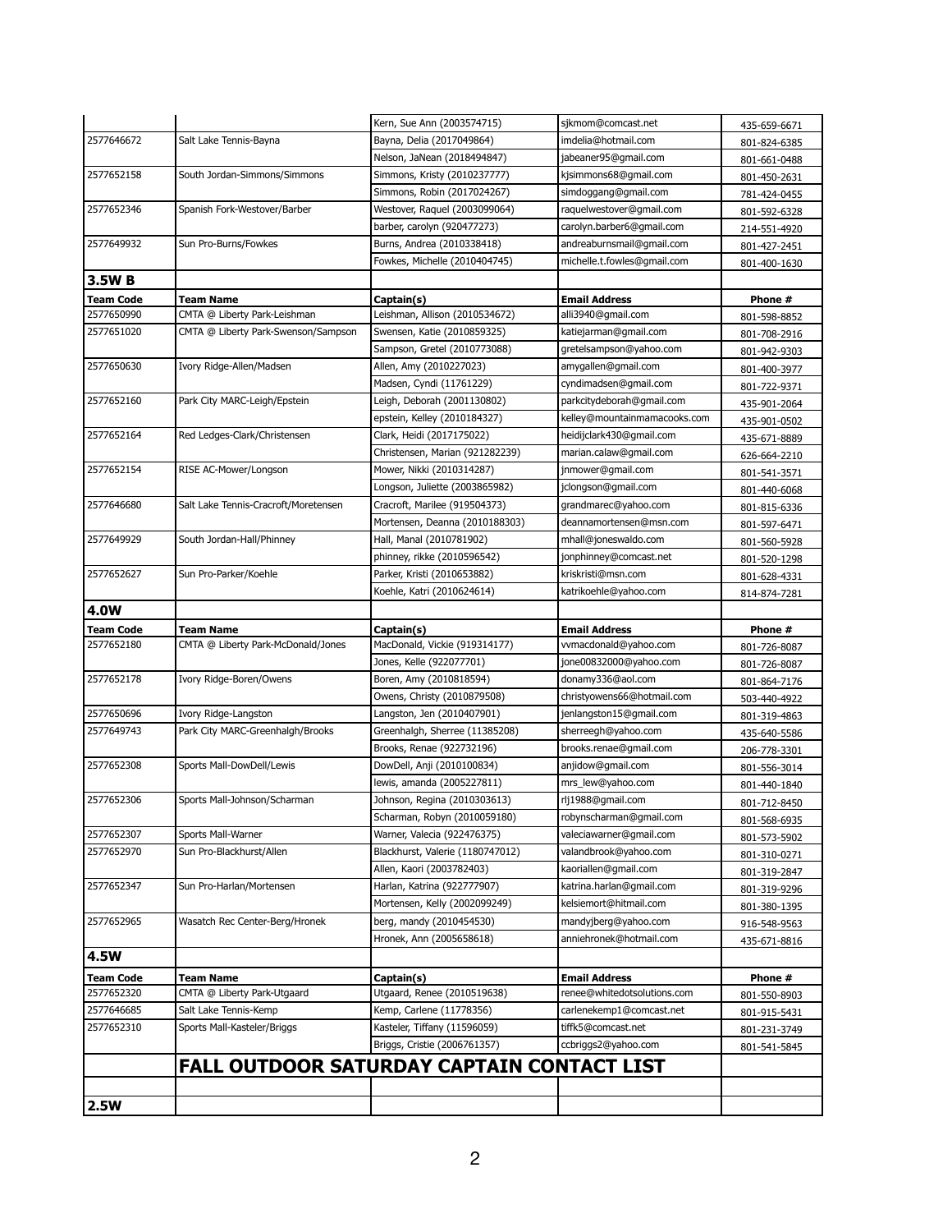|                          |                                            | Kern, Sue Ann (2003574715)       | sjkmom@comcast.net           | 435-659-6671 |
|--------------------------|--------------------------------------------|----------------------------------|------------------------------|--------------|
| 2577646672               | Salt Lake Tennis-Bayna                     | Bayna, Delia (2017049864)        | imdelia@hotmail.com          | 801-824-6385 |
|                          |                                            | Nelson, JaNean (2018494847)      | jabeaner95@gmail.com         | 801-661-0488 |
| 2577652158               | South Jordan-Simmons/Simmons               | Simmons, Kristy (2010237777)     | kjsimmons68@gmail.com        | 801-450-2631 |
|                          |                                            | Simmons, Robin (2017024267)      | simdoggang@gmail.com         | 781-424-0455 |
| 2577652346<br>2577649932 | Spanish Fork-Westover/Barber               | Westover, Raquel (2003099064)    | raquelwestover@gmail.com     | 801-592-6328 |
|                          |                                            | barber, carolyn (920477273)      | carolyn.barber6@gmail.com    | 214-551-4920 |
|                          | Sun Pro-Burns/Fowkes                       | Burns, Andrea (2010338418)       | andreaburnsmail@gmail.com    | 801-427-2451 |
|                          |                                            | Fowkes, Michelle (2010404745)    | michelle.t.fowles@gmail.com  | 801-400-1630 |
| 3.5W B                   |                                            |                                  |                              |              |
| <b>Team Code</b>         | Team Name                                  | Captain(s)                       | <b>Email Address</b>         | Phone #      |
| 2577650990               | CMTA @ Liberty Park-Leishman               | Leishman, Allison (2010534672)   | alli3940@gmail.com           | 801-598-8852 |
| 2577651020               | CMTA @ Liberty Park-Swenson/Sampson        | Swensen, Katie (2010859325)      | katiejarman@gmail.com        | 801-708-2916 |
|                          |                                            | Sampson, Gretel (2010773088)     | gretelsampson@yahoo.com      | 801-942-9303 |
| 2577650630               | Ivory Ridge-Allen/Madsen                   | Allen, Amy (2010227023)          | amygallen@gmail.com          | 801-400-3977 |
|                          |                                            | Madsen, Cyndi (11761229)         | cyndimadsen@gmail.com        | 801-722-9371 |
| 2577652160               | Park City MARC-Leigh/Epstein               | Leigh, Deborah (2001130802)      | parkcitydeborah@gmail.com    | 435-901-2064 |
|                          |                                            | epstein, Kelley (2010184327)     | kelley@mountainmamacooks.com | 435-901-0502 |
| 2577652164               | Red Ledges-Clark/Christensen               | Clark, Heidi (2017175022)        | heidijclark430@gmail.com     | 435-671-8889 |
|                          |                                            | Christensen, Marian (921282239)  | marian.calaw@gmail.com       | 626-664-2210 |
| 2577652154               | RISE AC-Mower/Longson                      | Mower, Nikki (2010314287)        | jnmower@gmail.com            | 801-541-3571 |
|                          |                                            | Longson, Juliette (2003865982)   | jclongson@gmail.com          | 801-440-6068 |
| 2577646680               | Salt Lake Tennis-Cracroft/Moretensen       | Cracroft, Marilee (919504373)    | grandmarec@yahoo.com         | 801-815-6336 |
|                          |                                            | Mortensen, Deanna (2010188303)   | deannamortensen@msn.com      | 801-597-6471 |
| 2577649929               | South Jordan-Hall/Phinney                  | Hall, Manal (2010781902)         | mhall@joneswaldo.com         | 801-560-5928 |
|                          |                                            | phinney, rikke (2010596542)      | jonphinney@comcast.net       | 801-520-1298 |
| 2577652627               | Sun Pro-Parker/Koehle                      | Parker, Kristi (2010653882)      | kriskristi@msn.com           | 801-628-4331 |
|                          |                                            | Koehle, Katri (2010624614)       | katrikoehle@yahoo.com        | 814-874-7281 |
| <b>4.0W</b>              |                                            |                                  |                              |              |
| <b>Team Code</b>         | <b>Team Name</b>                           | Captain(s)                       | <b>Email Address</b>         | Phone #      |
| 2577652180               | CMTA @ Liberty Park-McDonald/Jones         | MacDonald, Vickie (919314177)    | vvmacdonald@yahoo.com        | 801-726-8087 |
|                          |                                            | Jones, Kelle (922077701)         | jone00832000@yahoo.com       | 801-726-8087 |
| 2577652178               | Ivory Ridge-Boren/Owens                    | Boren, Amy (2010818594)          | donamy336@aol.com            | 801-864-7176 |
|                          |                                            | Owens, Christy (2010879508)      | christyowens66@hotmail.com   | 503-440-4922 |
| 2577650696               | Ivory Ridge-Langston                       |                                  |                              |              |
|                          |                                            | Langston, Jen (2010407901)       | jenlangston15@gmail.com      | 801-319-4863 |
| 2577649743               | Park City MARC-Greenhalgh/Brooks           | Greenhalgh, Sherree (11385208)   | sherreegh@yahoo.com          | 435-640-5586 |
|                          |                                            | Brooks, Renae (922732196)        | brooks.renae@gmail.com       | 206-778-3301 |
| 2577652308               | Sports Mall-DowDell/Lewis                  | DowDell, Anji (2010100834)       | anjidow@gmail.com            | 801-556-3014 |
|                          |                                            | lewis, amanda (2005227811)       | mrs_lew@yahoo.com            | 801-440-1840 |
| 2577652306               | Sports Mall-Johnson/Scharman               | Johnson, Regina (2010303613)     | rlj1988@gmail.com            | 801-712-8450 |
|                          |                                            | Scharman, Robyn (2010059180)     | robynscharman@gmail.com      | 801-568-6935 |
| 2577652307               | Sports Mall-Warner                         | Warner, Valecia (922476375)      | valeciawarner@gmail.com      | 801-573-5902 |
| 2577652970               | Sun Pro-Blackhurst/Allen                   | Blackhurst, Valerie (1180747012) | valandbrook@yahoo.com        | 801-310-0271 |
|                          |                                            | Allen, Kaori (2003782403)        | kaoriallen@gmail.com         | 801-319-2847 |
| 2577652347               | Sun Pro-Harlan/Mortensen                   | Harlan, Katrina (922777907)      | katrina.harlan@gmail.com     | 801-319-9296 |
|                          |                                            | Mortensen, Kelly (2002099249)    | kelsiemort@hitmail.com       | 801-380-1395 |
| 2577652965               | Wasatch Rec Center-Berg/Hronek             | berg, mandy (2010454530)         | mandyjberg@yahoo.com         | 916-548-9563 |
|                          |                                            | Hronek, Ann (2005658618)         | anniehronek@hotmail.com      | 435-671-8816 |
| <b>4.5W</b>              |                                            |                                  |                              |              |
| <b>Team Code</b>         | Team Name                                  | Captain(s)                       | <b>Email Address</b>         | Phone #      |
| 2577652320               | CMTA @ Liberty Park-Utgaard                | Utgaard, Renee (2010519638)      | renee@whitedotsolutions.com  | 801-550-8903 |
| 2577646685               | Salt Lake Tennis-Kemp                      | Kemp, Carlene (11778356)         | carlenekemp1@comcast.net     | 801-915-5431 |
| 2577652310               | Sports Mall-Kasteler/Briggs                | Kasteler, Tiffany (11596059)     | tiffk5@comcast.net           | 801-231-3749 |
|                          |                                            | Briggs, Cristie (2006761357)     | ccbriggs2@yahoo.com          | 801-541-5845 |
|                          |                                            |                                  |                              |              |
|                          | FALL OUTDOOR SATURDAY CAPTAIN CONTACT LIST |                                  |                              |              |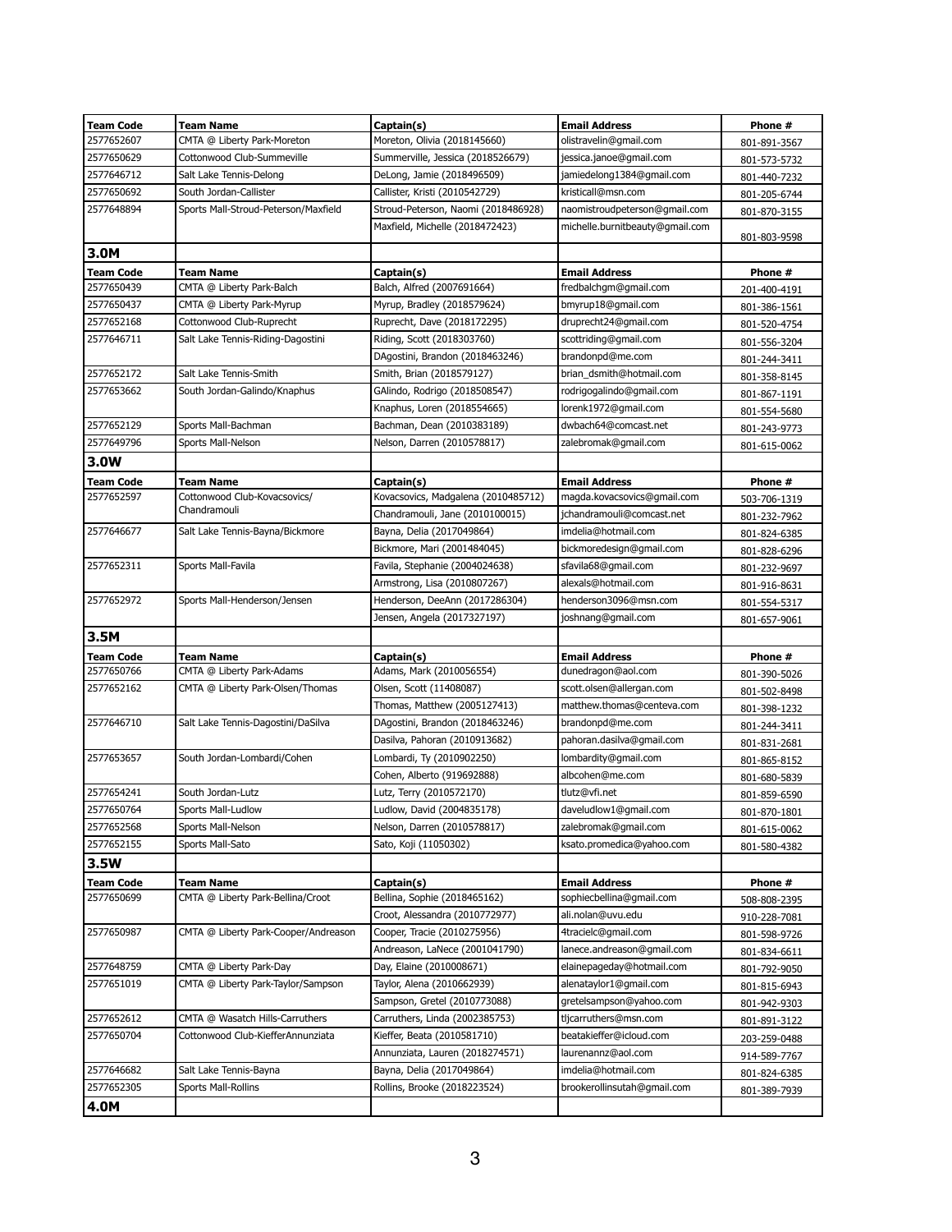| <b>Team Code</b> | <b>Team Name</b>                     | Captain(s)                          | <b>Email Address</b>            | Phone #      |
|------------------|--------------------------------------|-------------------------------------|---------------------------------|--------------|
| 2577652607       | CMTA @ Liberty Park-Moreton          | Moreton, Olivia (2018145660)        | olistravelin@gmail.com          | 801-891-3567 |
| 2577650629       | Cottonwood Club-Summeville           | Summerville, Jessica (2018526679)   | jessica.janoe@gmail.com         | 801-573-5732 |
| 2577646712       | Salt Lake Tennis-Delong              | DeLong, Jamie (2018496509)          | jamiedelong1384@gmail.com       | 801-440-7232 |
| 2577650692       | South Jordan-Callister               | Callister, Kristi (2010542729)      | kristicall@msn.com              | 801-205-6744 |
| 2577648894       | Sports Mall-Stroud-Peterson/Maxfield | Stroud-Peterson, Naomi (2018486928) | naomistroudpeterson@gmail.com   | 801-870-3155 |
|                  |                                      | Maxfield, Michelle (2018472423)     | michelle.burnitbeauty@gmail.com | 801-803-9598 |
| 3.0M             |                                      |                                     |                                 |              |
| <b>Team Code</b> | Team Name                            | Captain(s)                          | <b>Email Address</b>            | Phone #      |
| 2577650439       | CMTA @ Liberty Park-Balch            | Balch, Alfred (2007691664)          | fredbalchgm@gmail.com           | 201-400-4191 |
| 2577650437       | CMTA @ Liberty Park-Myrup            | Myrup, Bradley (2018579624)         | bmyrup18@gmail.com              | 801-386-1561 |
| 2577652168       | Cottonwood Club-Ruprecht             | Ruprecht, Dave (2018172295)         | druprecht24@gmail.com           | 801-520-4754 |
| 2577646711       | Salt Lake Tennis-Riding-Dagostini    | Riding, Scott (2018303760)          | scottriding@gmail.com           | 801-556-3204 |
|                  |                                      | DAgostini, Brandon (2018463246)     | brandonpd@me.com                | 801-244-3411 |
| 2577652172       | Salt Lake Tennis-Smith               | Smith, Brian (2018579127)           | brian dsmith@hotmail.com        | 801-358-8145 |
| 2577653662       | South Jordan-Galindo/Knaphus         | GAlindo, Rodrigo (2018508547)       | rodrigogalindo@gmail.com        | 801-867-1191 |
|                  |                                      | Knaphus, Loren (2018554665)         | lorenk1972@gmail.com            | 801-554-5680 |
| 2577652129       | Sports Mall-Bachman                  | Bachman, Dean (2010383189)          | dwbach64@comcast.net            | 801-243-9773 |
| 2577649796       | Sports Mall-Nelson                   | Nelson, Darren (2010578817)         | zalebromak@gmail.com            | 801-615-0062 |
| 3.0W             |                                      |                                     |                                 |              |
| <b>Team Code</b> | Team Name                            | Captain(s)                          | <b>Email Address</b>            | Phone #      |
| 2577652597       | Cottonwood Club-Kovacsovics/         | Kovacsovics, Madgalena (2010485712) | magda.kovacsovics@gmail.com     | 503-706-1319 |
|                  | Chandramouli                         | Chandramouli, Jane (2010100015)     | jchandramouli@comcast.net       | 801-232-7962 |
| 2577646677       | Salt Lake Tennis-Bayna/Bickmore      | Bayna, Delia (2017049864)           | imdelia@hotmail.com             | 801-824-6385 |
|                  |                                      | Bickmore, Mari (2001484045)         | bickmoredesign@gmail.com        | 801-828-6296 |
| 2577652311       | Sports Mall-Favila                   | Favila, Stephanie (2004024638)      | sfavila68@gmail.com             | 801-232-9697 |
|                  |                                      | Armstrong, Lisa (2010807267)        | alexals@hotmail.com             | 801-916-8631 |
| 2577652972       | Sports Mall-Henderson/Jensen         | Henderson, DeeAnn (2017286304)      | henderson3096@msn.com           | 801-554-5317 |
|                  |                                      | Jensen, Angela (2017327197)         | joshnang@gmail.com              | 801-657-9061 |
| 3.5M             |                                      |                                     |                                 |              |
| <b>Team Code</b> | Team Name                            | Captain(s)                          | <b>Email Address</b>            | Phone #      |
| 2577650766       | CMTA @ Liberty Park-Adams            | Adams, Mark (2010056554)            | dunedragon@aol.com              | 801-390-5026 |
| 2577652162       | CMTA @ Liberty Park-Olsen/Thomas     | Olsen, Scott (11408087)             | scott.olsen@allergan.com        | 801-502-8498 |
|                  |                                      | Thomas, Matthew (2005127413)        | matthew.thomas@centeva.com      | 801-398-1232 |
| 2577646710       | Salt Lake Tennis-Dagostini/DaSilva   | DAgostini, Brandon (2018463246)     | brandonpd@me.com                | 801-244-3411 |
|                  |                                      | Dasilva, Pahoran (2010913682)       | pahoran.dasilva@gmail.com       | 801-831-2681 |
| 2577653657       | South Jordan-Lombardi/Cohen          | Lombardi, Ty (2010902250)           | lombardity@gmail.com            | 801-865-8152 |
|                  |                                      | Cohen, Alberto (919692888)          | albcohen@me.com                 | 801-680-5839 |
| 2577654241       | South Jordan-Lutz                    | Lutz, Terry (2010572170)            | tlutz@vfi.net                   | 801-859-6590 |
| 2577650764       | Sports Mall-Ludlow                   | Ludlow, David (2004835178)          | daveludlow1@gmail.com           | 801-870-1801 |
| 2577652568       | Sports Mall-Nelson                   | Nelson, Darren (2010578817)         | zalebromak@gmail.com            | 801-615-0062 |
| 2577652155       | Sports Mall-Sato                     | Sato, Koji (11050302)               | ksato.promedica@yahoo.com       | 801-580-4382 |
| 3.5W             |                                      |                                     |                                 |              |
| <b>Team Code</b> | Team Name                            | Captain(s)                          | <b>Email Address</b>            | Phone #      |
| 2577650699       | CMTA @ Liberty Park-Bellina/Croot    | Bellina, Sophie (2018465162)        | sophiecbellina@gmail.com        | 508-808-2395 |
|                  |                                      | Croot, Alessandra (2010772977)      | ali.nolan@uvu.edu               | 910-228-7081 |
| 2577650987       | CMTA @ Liberty Park-Cooper/Andreason | Cooper, Tracie (2010275956)         | 4tracielc@gmail.com             | 801-598-9726 |
|                  |                                      | Andreason, LaNece (2001041790)      | lanece.andreason@gmail.com      | 801-834-6611 |
| 2577648759       | CMTA @ Liberty Park-Day              | Day, Elaine (2010008671)            | elainepageday@hotmail.com       | 801-792-9050 |
| 2577651019       | CMTA @ Liberty Park-Taylor/Sampson   | Taylor, Alena (2010662939)          | alenataylor1@gmail.com          | 801-815-6943 |
|                  |                                      | Sampson, Gretel (2010773088)        | gretelsampson@yahoo.com         | 801-942-9303 |
| 2577652612       | CMTA @ Wasatch Hills-Carruthers      | Carruthers, Linda (2002385753)      | tljcarruthers@msn.com           | 801-891-3122 |
| 2577650704       | Cottonwood Club-KiefferAnnunziata    | Kieffer, Beata (2010581710)         | beatakieffer@icloud.com         | 203-259-0488 |
|                  |                                      | Annunziata, Lauren (2018274571)     | laurenannz@aol.com              | 914-589-7767 |
| 2577646682       | Salt Lake Tennis-Bayna               | Bayna, Delia (2017049864)           | imdelia@hotmail.com             | 801-824-6385 |
| 2577652305       | Sports Mall-Rollins                  | Rollins, Brooke (2018223524)        | brookerollinsutah@gmail.com     | 801-389-7939 |
| 4.0M             |                                      |                                     |                                 |              |